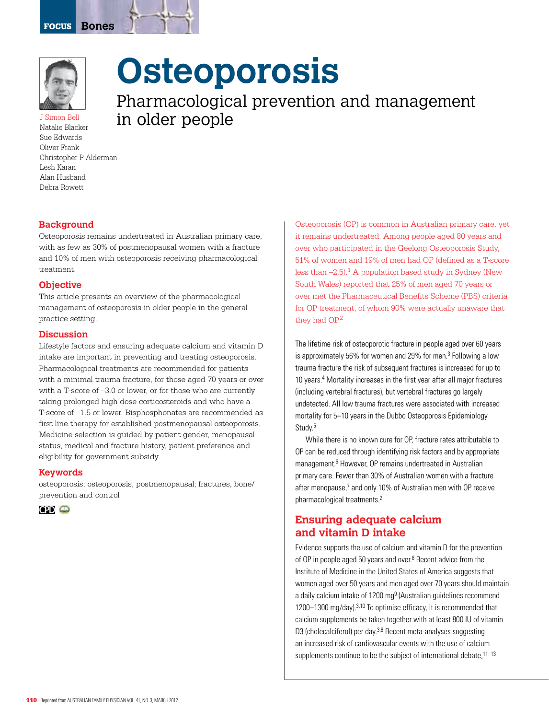

J Simon Bell Natalie Blacker Sue Edwards Oliver Frank Christopher P Alderman Lesh Karan Alan Husband Debra Rowett

# **Osteoporosis**

Pharmacological prevention and management in older people

# **Background**

Osteoporosis remains undertreated in Australian primary care, with as few as 30% of postmenopausal women with a fracture and 10% of men with osteoporosis receiving pharmacological treatment.

#### **Objective**

This article presents an overview of the pharmacological management of osteoporosis in older people in the general practice setting.

#### **Discussion**

Lifestyle factors and ensuring adequate calcium and vitamin D intake are important in preventing and treating osteoporosis. Pharmacological treatments are recommended for patients with a minimal trauma fracture, for those aged 70 years or over with a T-score of –3.0 or lower, or for those who are currently taking prolonged high dose corticosteroids and who have a T-score of –1.5 or lower. Bisphosphonates are recommended as first line therapy for established postmenopausal osteoporosis. Medicine selection is guided by patient gender, menopausal status, medical and fracture history, patient preference and eligibility for government subsidy.

#### **Keywords**

osteoporosis; osteoporosis, postmenopausal; fractures, bone/ prevention and control



Osteoporosis (OP) is common in Australian primary care, yet it remains undertreated. Among people aged 80 years and over who participated in the Geelong Osteoporosis Study, 51% of women and 19% of men had OP (defined as a T-score less than  $-2.5$ ).<sup>1</sup> A population based study in Sydney (New South Wales) reported that 25% of men aged 70 years or over met the Pharmaceutical Benefits Scheme (PBS) criteria for OP treatment, of whom 90% were actually unaware that they had OP.<sup>2</sup>

The lifetime risk of osteoporotic fracture in people aged over 60 years is approximately 56% for women and 29% for men.<sup>3</sup> Following a low trauma fracture the risk of subsequent fractures is increased for up to 10 years.<sup>4</sup> Mortality increases in the first year after all major fractures (including vertebral fractures), but vertebral fractures go largely undetected. All low trauma fractures were associated with increased mortality for 5–10 years in the Dubbo Osteoporosis Epidemiology Study.<sup>5</sup>

While there is no known cure for OP, fracture rates attributable to oP can be reduced through identifying risk factors and by appropriate management.<sup>6</sup> However, OP remains undertreated in Australian primary care. Fewer than 30% of Australian women with a fracture after menopause,<sup>7</sup> and only 10% of Australian men with OP receive pharmacological treatments.2

# **Ensuring adequate calcium and vitamin D intake**

Evidence supports the use of calcium and vitamin D for the prevention of OP in people aged 50 years and over.<sup>8</sup> Recent advice from the Institute of Medicine in the United States of America suggests that women aged over 50 years and men aged over 70 years should maintain a daily calcium intake of 1200 mg<sup>9</sup> (Australian guidelines recommend 1200–1300 mg/day).<sup>3,10</sup> To optimise efficacy, it is recommended that calcium supplements be taken together with at least 800 IU of vitamin D3 (cholecalciferol) per day.<sup>3,8</sup> Recent meta-analyses suggesting an increased risk of cardiovascular events with the use of calcium supplements continue to be the subject of international debate,  $11-13$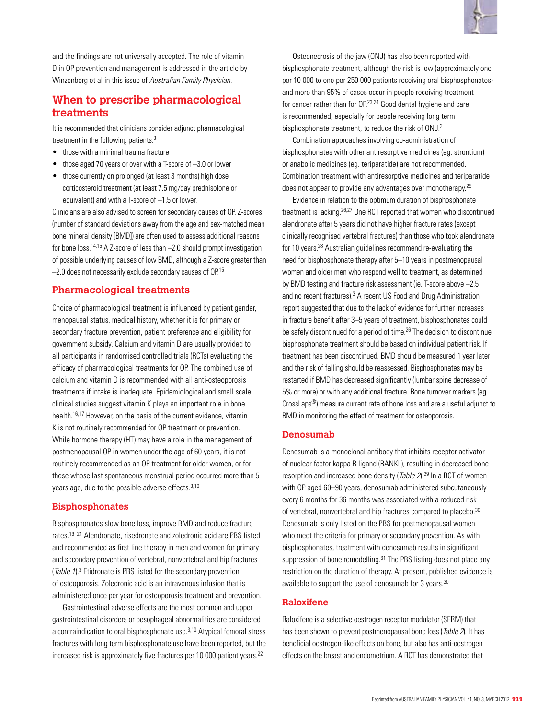and the findings are not universally accepted. The role of vitamin D in OP prevention and management is addressed in the article by Winzenberg et al in this issue of Australian Family Physician.

# **When to prescribe pharmacological treatments**

It is recommended that clinicians consider adjunct pharmacological treatment in the following patients:<sup>3</sup>

- those with a minimal trauma fracture
- $\bullet$  those aged 70 years or over with a T-score of  $-3.0$  or lower
- those currently on prolonged (at least 3 months) high dose corticosteroid treatment (at least 7.5 mg/day prednisolone or equivalent) and with a T-score of –1.5 or lower.

Clinicians are also advised to screen for secondary causes of OP. Z-scores (number of standard deviations away from the age and sex-matched mean bone mineral density [BMD]) are often used to assess additional reasons for bone loss.14,15 A Z-score of less than –2.0 should prompt investigation of possible underlying causes of low BMD, although a Z-score greater than  $-2.0$  does not necessarily exclude secondary causes of  $OP$ .<sup>15</sup>

# **Pharmacological treatments**

Choice of pharmacological treatment is influenced by patient gender, menopausal status, medical history, whether it is for primary or secondary fracture prevention, patient preference and eligibility for government subsidy. Calcium and vitamin D are usually provided to all participants in randomised controlled trials (RCTs) evaluating the efficacy of pharmacological treatments for OP. The combined use of calcium and vitamin D is recommended with all anti-osteoporosis treatments if intake is inadequate. Epidemiological and small scale clinical studies suggest vitamin K plays an important role in bone health.<sup>16,17</sup> However, on the basis of the current evidence, vitamin K is not routinely recommended for OP treatment or prevention. While hormone therapy (HT) may have a role in the management of postmenopausal OP in women under the age of 60 years, it is not routinely recommended as an OP treatment for older women, or for those whose last spontaneous menstrual period occurred more than 5 years ago, due to the possible adverse effects.<sup>3,10</sup>

#### **Bisphosphonates**

Bisphosphonates slow bone loss, improve BMD and reduce fracture rates.19–21 Alendronate, risedronate and zoledronic acid are PBS listed and recommended as first line therapy in men and women for primary and secondary prevention of vertebral, nonvertebral and hip fractures (Table 1).<sup>3</sup> Etidronate is PBS listed for the secondary prevention of osteoporosis. Zoledronic acid is an intravenous infusion that is administered once per year for osteoporosis treatment and prevention.

Gastrointestinal adverse effects are the most common and upper gastrointestinal disorders or oesophageal abnormalities are considered a contraindication to oral bisphosphonate use.<sup>3,10</sup> Atypical femoral stress fractures with long term bisphosphonate use have been reported, but the increased risk is approximately five fractures per 10 000 patient years.<sup>22</sup>

Osteonecrosis of the jaw (ONJ) has also been reported with bisphosphonate treatment, although the risk is low (approximately one per 10 000 to one per 250 000 patients receiving oral bisphosphonates) and more than 95% of cases occur in people receiving treatment for cancer rather than for OP.<sup>23,24</sup> Good dental hygiene and care is recommended, especially for people receiving long term bisphosphonate treatment, to reduce the risk of ONJ.<sup>3</sup>

Combination approaches involving co-administration of bisphosphonates with other antiresorptive medicines (eg. strontium) or anabolic medicines (eg. teriparatide) are not recommended. Combination treatment with antiresorptive medicines and teriparatide does not appear to provide any advantages over monotherapy.<sup>25</sup>

Evidence in relation to the optimum duration of bisphosphonate treatment is lacking.26,27 One RCT reported that women who discontinued alendronate after 5 years did not have higher fracture rates (except clinically recognised vertebral fractures) than those who took alendronate for 10 years.28 Australian guidelines recommend re-evaluating the need for bisphosphonate therapy after 5–10 years in postmenopausal women and older men who respond well to treatment, as determined by BMD testing and fracture risk assessment (ie. T-score above –2.5 and no recent fractures).<sup>3</sup> A recent US Food and Drug Administration report suggested that due to the lack of evidence for further increases in fracture benefit after 3–5 years of treatment, bisphosphonates could be safely discontinued for a period of time.<sup>26</sup> The decision to discontinue bisphosphonate treatment should be based on individual patient risk. If treatment has been discontinued, BMD should be measured 1 year later and the risk of falling should be reassessed. Bisphosphonates may be restarted if BMD has decreased significantly (lumbar spine decrease of 5% or more) or with any additional fracture. Bone turnover markers (eg. CrossLaps®) measure current rate of bone loss and are a useful adjunct to BMD in monitoring the effect of treatment for osteoporosis.

#### **Denosumab**

Denosumab is a monoclonal antibody that inhibits receptor activator of nuclear factor kappa B ligand (RANKL), resulting in decreased bone resorption and increased bone density (*Table 2*).<sup>29</sup> In a RCT of women with OP aged 60–90 years, denosumab administered subcutaneously every 6 months for 36 months was associated with a reduced risk of vertebral, nonvertebral and hip fractures compared to placebo.<sup>30</sup> Denosumab is only listed on the PBS for postmenopausal women who meet the criteria for primary or secondary prevention. As with bisphosphonates, treatment with denosumab results in significant suppression of bone remodelling.<sup>31</sup> The PBS listing does not place any restriction on the duration of therapy. At present, published evidence is available to support the use of denosumab for 3 years.<sup>30</sup>

#### **Raloxifene**

Raloxifene is a selective oestrogen receptor modulator (SERM) that has been shown to prevent postmenopausal bone loss (Table 2). It has beneficial oestrogen-like effects on bone, but also has anti-oestrogen effects on the breast and endometrium. A RCT has demonstrated that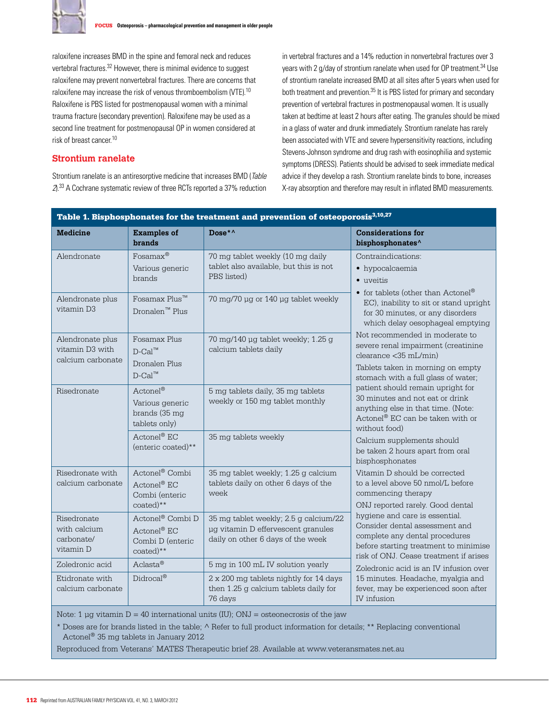

raloxifene increases BMD in the spine and femoral neck and reduces vertebral fractures.<sup>32</sup> However, there is minimal evidence to suggest raloxifene may prevent nonvertebral fractures. There are concerns that raloxifene may increase the risk of venous thromboembolism (VTE).10 Raloxifene is PBS listed for postmenopausal women with a minimal trauma fracture (secondary prevention). Raloxifene may be used as a second line treatment for postmenopausal OP in women considered at risk of breast cancer.10

#### **Strontium ranelate**

Strontium ranelate is an antiresorptive medicine that increases BMD (Table 2).33 A Cochrane systematic review of three RCTs reported a 37% reduction

in vertebral fractures and a 14% reduction in nonvertebral fractures over 3 years with 2 g/day of strontium ranelate when used for OP treatment.34 Use of strontium ranelate increased BMD at all sites after 5 years when used for both treatment and prevention.<sup>35</sup> It is PBS listed for primary and secondary prevention of vertebral fractures in postmenopausal women. It is usually taken at bedtime at least 2 hours after eating. The granules should be mixed in a glass of water and drunk immediately. Strontium ranelate has rarely been associated with VTE and severe hypersensitivity reactions, including Stevens-Johnson syndrome and drug rash with eosinophilia and systemic symptoms (DRESS). Patients should be advised to seek immediate medical advice if they develop a rash. Strontium ranelate binds to bone, increases X-ray absorption and therefore may result in inflated BMD measurements.

| Table 1. Bisphosphonates for the treatment and prevention of osteoporosis <sup>3,10,27</sup> |                                                                                 |                                                                                                                  |                                                                                                                                                                                                                                                                                                                                                                                                                                                                                                                                                                                           |  |  |  |
|----------------------------------------------------------------------------------------------|---------------------------------------------------------------------------------|------------------------------------------------------------------------------------------------------------------|-------------------------------------------------------------------------------------------------------------------------------------------------------------------------------------------------------------------------------------------------------------------------------------------------------------------------------------------------------------------------------------------------------------------------------------------------------------------------------------------------------------------------------------------------------------------------------------------|--|--|--|
| <b>Medicine</b>                                                                              | <b>Examples of</b><br><b>brands</b>                                             | Dose*^                                                                                                           | <b>Considerations for</b><br>bisphosphonates^                                                                                                                                                                                                                                                                                                                                                                                                                                                                                                                                             |  |  |  |
| Alendronate                                                                                  | $Fosamax^@$<br>Various generic<br>brands                                        | 70 mg tablet weekly (10 mg daily<br>tablet also available, but this is not<br>PBS listed)                        | Contraindications:<br>• hypocalcaemia<br>• uveitis<br>$\bullet\,$ for tablets (other than $\mbox{Actonel}^{\circledR}$<br>EC), inability to sit or stand upright<br>for 30 minutes, or any disorders<br>which delay oesophageal emptying<br>Not recommended in moderate to<br>severe renal impairment (creatinine<br>clearance <35 mL/min)<br>Tablets taken in morning on empty<br>stomach with a full glass of water;<br>patient should remain upright for<br>30 minutes and not eat or drink<br>anything else in that time. (Note:<br>Actonel® EC can be taken with or<br>without food) |  |  |  |
| Alendronate plus<br>vitamin D3                                                               | Fosamax Plus <sup>™</sup><br>Dronalen <sup>™</sup> Plus                         | 70 mg/70 µg or 140 µg tablet weekly                                                                              |                                                                                                                                                                                                                                                                                                                                                                                                                                                                                                                                                                                           |  |  |  |
| Alendronate plus<br>vitamin D3 with<br>calcium carbonate                                     | Fosamax Plus<br>$D$ -Cal <sup>™</sup><br>Dronalen Plus<br>$D$ -Cal <sup>™</sup> | 70 mg/140 µg tablet weekly; 1.25 g<br>calcium tablets daily                                                      |                                                                                                                                                                                                                                                                                                                                                                                                                                                                                                                                                                                           |  |  |  |
| Risedronate                                                                                  | Actonel®<br>Various generic<br>brands (35 mg<br>tablets only)                   | 5 mg tablets daily, 35 mg tablets<br>weekly or 150 mg tablet monthly                                             |                                                                                                                                                                                                                                                                                                                                                                                                                                                                                                                                                                                           |  |  |  |
|                                                                                              | Actonel <sup>®</sup> EC<br>(enteric coated)**                                   | 35 mg tablets weekly                                                                                             | Calcium supplements should<br>be taken 2 hours apart from oral<br>bisphosphonates                                                                                                                                                                                                                                                                                                                                                                                                                                                                                                         |  |  |  |
| Risedronate with<br>calcium carbonate                                                        | Actonel® Combi<br>Actonel® EC<br>Combi (enteric<br>coated)**                    | 35 mg tablet weekly; 1.25 g calcium<br>tablets daily on other 6 days of the<br>week                              | Vitamin D should be corrected<br>to a level above 50 nmol/L before<br>commencing therapy<br>ONJ reported rarely. Good dental<br>hygiene and care is essential.<br>Consider dental assessment and<br>complete any dental procedures<br>before starting treatment to minimise<br>risk of ONJ. Cease treatment if arises<br>Zoledronic acid is an IV infusion over<br>15 minutes. Headache, myalgia and<br>fever, may be experienced soon after<br>IV infusion                                                                                                                               |  |  |  |
| Risedronate<br>with calcium<br>carbonate/<br>vitamin D                                       | Actonel® Combi D<br>Actonel® EC<br>Combi D (enteric<br>$\text{coated})$ **      | 35 mg tablet weekly; 2.5 g calcium/22<br>µg vitamin D effervescent granules<br>daily on other 6 days of the week |                                                                                                                                                                                                                                                                                                                                                                                                                                                                                                                                                                                           |  |  |  |
| Zoledronic acid                                                                              | Aclasta®                                                                        | 5 mg in 100 mL IV solution yearly                                                                                |                                                                                                                                                                                                                                                                                                                                                                                                                                                                                                                                                                                           |  |  |  |
| Etidronate with<br>calcium carbonate                                                         | $Didrocal^@$                                                                    | 2 x 200 mg tablets nightly for 14 days<br>then 1.25 g calcium tablets daily for<br>76 days                       |                                                                                                                                                                                                                                                                                                                                                                                                                                                                                                                                                                                           |  |  |  |

Note: 1 µg vitamin  $D = 40$  international units (IU); ONJ = osteonecrosis of the jaw

\* Doses are for brands listed in the table; ^ Refer to full product information for details; \*\* Replacing conventional Actonel® 35 mg tablets in January 2012

Reproduced from Veterans' MATES Therapeutic brief 28. Available at www.veteransmates.net.au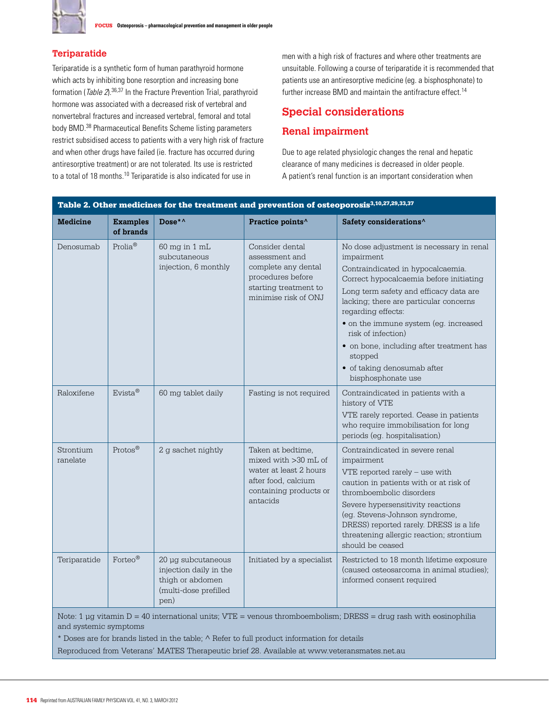

# **Teriparatide**

Teriparatide is a synthetic form of human parathyroid hormone which acts by inhibiting bone resorption and increasing bone formation (Table 2).36,37 In the Fracture Prevention Trial, parathyroid hormone was associated with a decreased risk of vertebral and nonvertebral fractures and increased vertebral, femoral and total body BMD.<sup>38</sup> Pharmaceutical Benefits Scheme listing parameters restrict subsidised access to patients with a very high risk of fracture and when other drugs have failed (ie. fracture has occurred during antiresorptive treatment) or are not tolerated. Its use is restricted to a total of 18 months.10 Teriparatide is also indicated for use in

men with a high risk of fractures and where other treatments are unsuitable. Following a course of teriparatide it is recommended that patients use an antiresorptive medicine (eg. a bisphosphonate) to further increase BMD and maintain the antifracture effect.<sup>14</sup>

# **Special considerations**

# **Renal impairment**

Due to age related physiologic changes the renal and hepatic clearance of many medicines is decreased in older people. A patient's renal function is an important consideration when

| Table 2. Other medicines for the treatment and prevention of osteoporosis <sup>3,10,27,29,33,37</sup>                                          |                              |                                                                                                   |                                                                                                                                    |                                                                                                                                                                                                                                                                                                                                                                                                                             |  |  |
|------------------------------------------------------------------------------------------------------------------------------------------------|------------------------------|---------------------------------------------------------------------------------------------------|------------------------------------------------------------------------------------------------------------------------------------|-----------------------------------------------------------------------------------------------------------------------------------------------------------------------------------------------------------------------------------------------------------------------------------------------------------------------------------------------------------------------------------------------------------------------------|--|--|
| Medicine                                                                                                                                       | <b>Examples</b><br>of brands | Dose*^                                                                                            | Practice points^                                                                                                                   | Safety considerations^                                                                                                                                                                                                                                                                                                                                                                                                      |  |  |
| Denosumab                                                                                                                                      | $Prolia^@$                   | 60 mg in 1 mL<br>subcutaneous<br>injection, 6 monthly                                             | Consider dental<br>assessment and<br>complete any dental<br>procedures before<br>starting treatment to<br>minimise risk of ONJ     | No dose adjustment is necessary in renal<br>impairment<br>Contraindicated in hypocalcaemia.<br>Correct hypocalcaemia before initiating<br>Long term safety and efficacy data are<br>lacking; there are particular concerns<br>regarding effects:<br>· on the immune system (eg. increased<br>risk of infection)<br>• on bone, including after treatment has<br>stopped<br>· of taking denosumab after<br>bisphosphonate use |  |  |
| Raloxifene                                                                                                                                     | $Evista^@$                   | 60 mg tablet daily                                                                                | Fasting is not required                                                                                                            | Contraindicated in patients with a<br>history of VTE<br>VTE rarely reported. Cease in patients<br>who require immobilisation for long<br>periods (eq. hospitalisation)                                                                                                                                                                                                                                                      |  |  |
| Strontium<br>ranelate                                                                                                                          | Protos <sup>®</sup>          | 2 q sachet nightly                                                                                | Taken at bedtime,<br>mixed with $>30$ mL of<br>water at least 2 hours<br>after food, calcium<br>containing products or<br>antacids | Contraindicated in severe renal<br>impairment<br>$VTE$ reported rarely $-$ use with<br>caution in patients with or at risk of<br>thromboembolic disorders<br>Severe hypersensitivity reactions<br>(eg. Stevens-Johnson syndrome,<br>DRESS) reported rarely. DRESS is a life<br>threatening allergic reaction; strontium<br>should be ceased                                                                                 |  |  |
| Teriparatide                                                                                                                                   | Forteo <sup>®</sup>          | 20 µg subcutaneous<br>injection daily in the<br>thigh or abdomen<br>(multi-dose prefilled<br>pen) | Initiated by a specialist                                                                                                          | Restricted to 18 month lifetime exposure<br>(caused osteosarcoma in animal studies);<br>informed consent required                                                                                                                                                                                                                                                                                                           |  |  |
| Note: 1 $\mu$ g vitamin D = 40 international units; VTE = venous thromboembolism; DRESS = drug rash with eosinophilia<br>and systemic symptoms |                              |                                                                                                   |                                                                                                                                    |                                                                                                                                                                                                                                                                                                                                                                                                                             |  |  |

\* Doses are for brands listed in the table; ^ Refer to full product information for details

Reproduced from Veterans' MATES Therapeutic brief 28. Available at www.veteransmates.net.au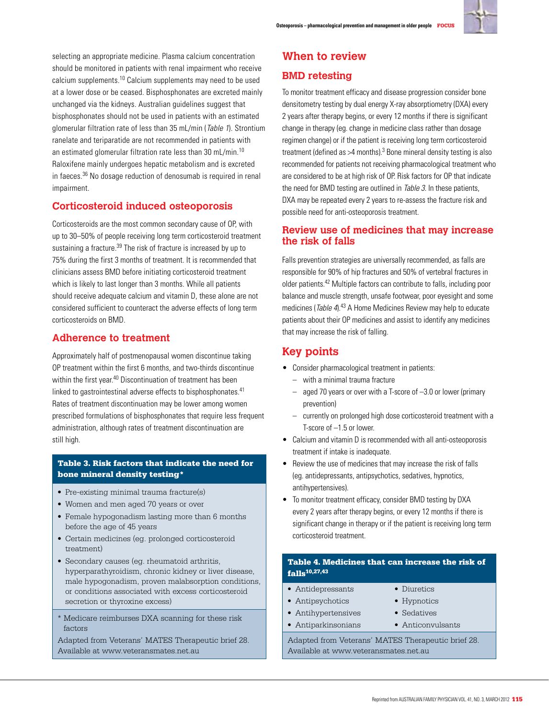

selecting an appropriate medicine. Plasma calcium concentration should be monitored in patients with renal impairment who receive calcium supplements.10 Calcium supplements may need to be used at a lower dose or be ceased. Bisphosphonates are excreted mainly unchanged via the kidneys. Australian guidelines suggest that bisphosphonates should not be used in patients with an estimated glomerular filtration rate of less than 35 mL/min (Table 1). Strontium ranelate and teriparatide are not recommended in patients with an estimated glomerular filtration rate less than 30 mL/min.<sup>10</sup> Raloxifene mainly undergoes hepatic metabolism and is excreted in faeces.36 No dosage reduction of denosumab is required in renal impairment.

# **Corticosteroid induced osteoporosis**

Corticosteroids are the most common secondary cause of OP, with up to 30–50% of people receiving long term corticosteroid treatment sustaining a fracture.<sup>39</sup> The risk of fracture is increased by up to 75% during the first 3 months of treatment. It is recommended that clinicians assess BMD before initiating corticosteroid treatment which is likely to last longer than 3 months. While all patients should receive adequate calcium and vitamin D, these alone are not considered sufficient to counteract the adverse effects of long term corticosteroids on BMD.

# **Adherence to treatment**

Approximately half of postmenopausal women discontinue taking OP treatment within the first 6 months, and two-thirds discontinue within the first year.<sup>40</sup> Discontinuation of treatment has been linked to gastrointestinal adverse effects to bisphosphonates.<sup>41</sup> Rates of treatment discontinuation may be lower among women prescribed formulations of bisphosphonates that require less frequent administration, although rates of treatment discontinuation are still high.

#### Table 3. Risk factors that indicate the need for bone mineral density testing\*

- Pre-existing minimal trauma fracture(s)
- • Women and men aged 70 years or over
- Female hypogonadism lasting more than 6 months before the age of 45 years
- • Certain medicines (eg. prolonged corticosteroid treatment)
- Secondary causes (eq. rheumatoid arthritis, hyperparathyroidism, chronic kidney or liver disease, male hypogonadism, proven malabsorption conditions, or conditions associated with excess corticosteroid secretion or thyroxine excess)
- \* Medicare reimburses DXA scanning for these risk factors

Adapted from Veterans' MATES Therapeutic brief 28. Available at www.veteransmates.net.au

# **When to review**

# **BMD retesting**

To monitor treatment efficacy and disease progression consider bone densitometry testing by dual energy X-ray absorptiometry (DXA) every 2 years after therapy begins, or every 12 months if there is significant change in therapy (eg. change in medicine class rather than dosage regimen change) or if the patient is receiving long term corticosteroid treatment (defined as  $>4$  months).<sup>3</sup> Bone mineral density testing is also recommended for patients not receiving pharmacological treatment who are considered to be at high risk of OP. Risk factors for OP that indicate the need for BMD testing are outlined in Table 3. In these patients, DXA may be repeated every 2 years to re-assess the fracture risk and possible need for anti-osteoporosis treatment.

# **Review use of medicines that may increase the risk of falls**

Falls prevention strategies are universally recommended, as falls are responsible for 90% of hip fractures and 50% of vertebral fractures in older patients.42 Multiple factors can contribute to falls, including poor balance and muscle strength, unsafe footwear, poor eyesight and some medicines (*Table 4*).<sup>43</sup> A Home Medicines Review may help to educate patients about their OP medicines and assist to identify any medicines that may increase the risk of falling.

# **Key points**

- • Consider pharmacological treatment in patients:
	- with a minimal trauma fracture
	- aged 70 years or over with a T-score of –3.0 or lower (primary prevention)
	- currently on prolonged high dose corticosteroid treatment with a T-score of –1.5 or lower.
- Calcium and vitamin D is recommended with all anti-osteoporosis treatment if intake is inadequate.
- • Review the use of medicines that may increase the risk of falls (eg. antidepressants, antipsychotics, sedatives, hypnotics, antihypertensives).
- To monitor treatment efficacy, consider BMD testing by DXA every 2 years after therapy begins, or every 12 months if there is significant change in therapy or if the patient is receiving long term corticosteroid treatment.

#### Table 4. Medicines that can increase the risk of falls10,27,43

- Antidepressants
- Antipsychotics
- Diuretics • Hypnotics • Sedatives
- • Antihypertensives • Antiparkinsonians
- Anticonvulsants

Adapted from Veterans' MATES Therapeutic brief 28. Available at www.veteransmates.net.au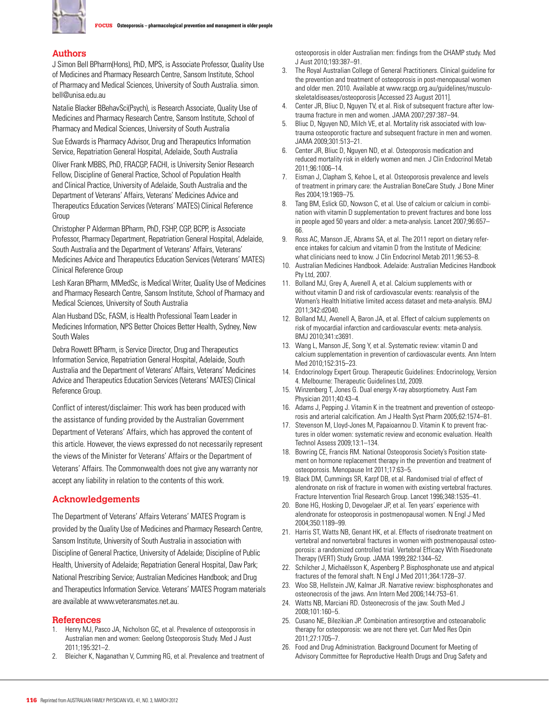

#### **Authors**

J Simon Bell BPharm(Hons), PhD, MPS, is Associate Professor, Quality Use of Medicines and Pharmacy Research Centre, Sansom Institute, School of Pharmacy and Medical Sciences, University of South Australia. simon. bell@unisa.edu.au

Natalie Blacker BBehavSci(Psych), is Research Associate, Quality Use of Medicines and Pharmacy Research Centre, Sansom Institute, School of Pharmacy and Medical Sciences, University of South Australia

Sue Edwards is Pharmacy Advisor, Drug and Therapeutics Information Service, Repatriation General Hospital, Adelaide, South Australia

Oliver Frank MBBS, PhD, FRACGP, FACHI, is University Senior Research Fellow, Discipline of General Practice, School of Population Health and Clinical Practice, University of Adelaide, South Australia and the Department of Veterans' Affairs, Veterans' Medicines Advice and Therapeutics Education Services (Veterans' MATES) Clinical Reference Group

Christopher P Alderman BPharm, PhD, FSHP, CGP, BCPP, is Associate Professor, Pharmacy Department, Repatriation General Hospital, Adelaide, South Australia and the Department of Veterans' Affairs, Veterans' Medicines Advice and Therapeutics Education Services (Veterans' MATES) Clinical Reference Group

Lesh Karan BPharm, MMedSc, is Medical Writer, Quality Use of Medicines and Pharmacy Research Centre, Sansom Institute, School of Pharmacy and Medical Sciences, University of South Australia

Alan Husband DSc, FASM, is Health Professional Team Leader in Medicines Information, NPS Better Choices Better Health, Sydney, New South Wales

Debra Rowett BPharm, is Service Director, Drug and Therapeutics Information Service, Repatriation General Hospital, Adelaide, South Australia and the Department of Veterans' Affairs, Veterans' Medicines Advice and Therapeutics Education Services (Veterans' MATES) Clinical Reference Group.

Conflict of interest/disclaimer: This work has been produced with the assistance of funding provided by the Australian Government Department of Veterans' Affairs, which has approved the content of this article. However, the views expressed do not necessarily represent the views of the Minister for Veterans' Affairs or the Department of Veterans' Affairs. The Commonwealth does not give any warranty nor accept any liability in relation to the contents of this work.

#### **Acknowledgements**

The Department of Veterans' Affairs Veterans' MATES Program is provided by the Quality Use of Medicines and Pharmacy Research Centre, Sansom Institute, University of South Australia in association with Discipline of General Practice, University of Adelaide; Discipline of Public Health, University of Adelaide; Repatriation General Hospital, Daw Park; National Prescribing Service; Australian Medicines Handbook; and Drug and Therapeutics Information Service. Veterans' MATES Program materials are available at www.veteransmates.net.au.

#### **References**

- 1. Henry MJ, Pasco JA, Nicholson GC, et al. Prevalence of osteoporosis in Australian men and women: Geelong Osteoporosis Study. Med J Aust 2011;195:321–2.
- 2. Bleicher K, Naganathan V, Cumming RG, et al. Prevalence and treatment of

osteoporosis in older Australian men: findings from the CHAMP study. Med J Aust 2010;193:387–91.

- 3. The Royal Australian College of General Practitioners. Clinical guideline for the prevention and treatment of osteoporosis in post-menopausal women and older men. 2010. Available at www.racgp.org.au/guidelines/musculoskeletaldiseases/osteoporosis [Accessed 23 August 2011].
- 4. Center JR, Bliuc D, Nguyen TV, et al. Risk of subsequent fracture after lowtrauma fracture in men and women. JAMA 2007;297:387–94.
- 5. Bliuc D, Nguyen ND, Milch VE, et al. Mortality risk associated with lowtrauma osteoporotic fracture and subsequent fracture in men and women. JAMA 2009;301:513–21.
- 6. Center JR, Bliuc D, Nguyen ND, et al. Osteoporosis medication and reduced mortality risk in elderly women and men. J Clin Endocrinol Metab 2011;96:1006–14.
- 7. Eisman J, Clapham S, Kehoe L, et al. Osteoporosis prevalence and levels of treatment in primary care: the Australian BoneCare Study. J Bone Miner Res 2004;19:1969–75.
- 8. Tang BM, Eslick GD, Nowson C, et al. Use of calcium or calcium in combination with vitamin D supplementation to prevent fractures and bone loss in people aged 50 years and older: a meta-analysis. Lancet 2007;96:657– 66.
- 9. Ross AC, Manson JE, Abrams SA, et al. The 2011 report on dietary reference intakes for calcium and vitamin D from the Institute of Medicine: what clinicians need to know. J Clin Endocrinol Metab 2011;96:53–8.
- 10. Australian Medicines Handbook. Adelaide: Australian Medicines Handbook Pty Ltd, 2007.
- 11. Bolland MJ, Grey A, Avenell A, et al. Calcium supplements with or without vitamin D and risk of cardiovascular events: reanalysis of the Women's Health Initiative limited access dataset and meta-analysis. BMJ 2011;342:d2040.
- 12. Bolland MJ, Avenell A, Baron JA, et al. Effect of calcium supplements on risk of myocardial infarction and cardiovascular events: meta-analysis. BMJ 2010;341:c3691.
- 13. Wang L, Manson JE, Song Y, et al. Systematic review: vitamin D and calcium supplementation in prevention of cardiovascular events. Ann Intern Med 2010;152:315–23.
- 14. Endocrinology Expert Group. Therapeutic Guidelines: Endocrinology, Version 4. Melbourne: Therapeutic Guidelines Ltd, 2009.
- 15. Winzenberg T, Jones G. Dual energy X-ray absorptiometry. Aust Fam Physician 2011;40:43–4.
- 16. Adams J, Pepping J. Vitamin K in the treatment and prevention of osteoporosis and arterial calcification. Am J Health Syst Pharm 2005;62:1574–81.
- 17. Stevenson M, Lloyd-Jones M, Papaioannou D. Vitamin K to prevent fractures in older women: systematic review and economic evaluation. Health Technol Assess 2009;13:1–134.
- 18. Bowring CE, Francis RM. National Osteoporosis Society's Position statement on hormone replacement therapy in the prevention and treatment of osteoporosis. Menopause Int 2011;17:63–5.
- 19. Black DM, Cummings SR, Karpf DB, et al. Randomised trial of effect of alendronate on risk of fracture in women with existing vertebral fractures. Fracture Intervention Trial Research Group. Lancet 1996;348:1535–41.
- 20. Bone HG, Hosking D, Devogelaer JP, et al. Ten years' experience with alendronate for osteoporosis in postmenopausal women. N Engl J Med 2004;350:1189–99.
- 21. Harris ST, Watts NB, Genant HK, et al. Effects of risedronate treatment on vertebral and nonvertebral fractures in women with postmenopausal osteoporosis: a randomized controlled trial. Vertebral Efficacy With Risedronate Therapy (VERT) Study Group. JAMA 1999;282:1344–52.
- 22. Schilcher J, Michaëlsson K, Aspenberg P. Bisphosphonate use and atypical fractures of the femoral shaft. N Engl J Med 2011;364:1728–37.
- 23. Woo SB, Hellstein JW, Kalmar JR. Narrative review: bisphosphonates and osteonecrosis of the jaws. Ann Intern Med 2006;144:753–61.
- 24. Watts NB, Marciani RD. Osteonecrosis of the jaw. South Med J 2008;101:160–5.
- 25. Cusano NE, Bilezikian JP. Combination antiresorptive and osteoanabolic therapy for osteoporosis: we are not there yet. Curr Med Res Opin 2011;27:1705–7.
- 26. Food and Drug Administration. Background Document for Meeting of Advisory Committee for Reproductive Health Drugs and Drug Safety and